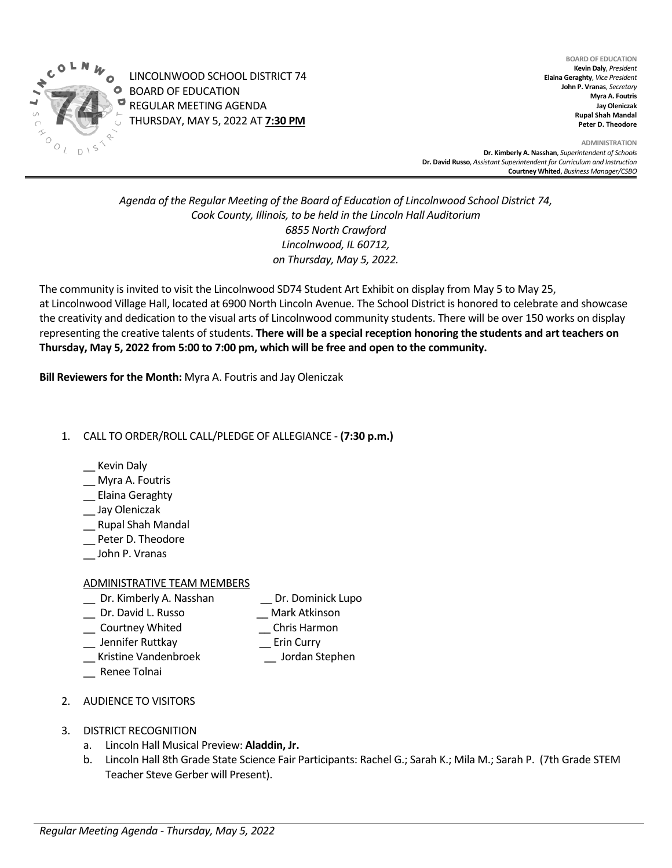

LINCOLNWOOD SCHOOL DISTRICT 74 BOARD OF EDUCATION REGULAR MEETING AGENDA THURSDAY, MAY 5, 2022 AT **7:30 PM**

**BOARD OF EDUCATION Kevin Daly**, *President* **Elaina Geraghty**, *Vice President* **John P. Vranas**, *Secretary*  **Myra A. Foutris Jay Oleniczak Rupal Shah Mandal Peter D. Theodore**

**ADMINISTRATION Dr. Kimberly A. Nasshan**, *Superintendent of Schools* **Dr. David Russo**, *Assistant Superintendent for Curriculum and Instruction* **Courtney Whited**, *Business Manager/CSBO* 

*Agenda of the Regular Meeting of the Board of Education of Lincolnwood School District 74, Cook County, Illinois, to be held in the Lincoln Hall Auditorium 6855 North Crawford Lincolnwood, IL 60712, on Thursday, May 5, 2022.*

The community is invited to visit the Lincolnwood SD74 Student Art Exhibit on display from May 5 to May 25, at Lincolnwood Village Hall, located at 6900 North Lincoln Avenue. The School District is honored to celebrate and showcase the creativity and dedication to the visual arts of Lincolnwood community students. There will be over 150 works on display representing the creative talents of students. **There will be a special reception honoring the students and art teachers on Thursday, May 5, 2022 from 5:00 to 7:00 pm, which will be free and open to the community.**

**Bill Reviewers for the Month:** Myra A. Foutris and Jay Oleniczak

# 1. CALL TO ORDER/ROLL CALL/PLEDGE OF ALLEGIANCE - **(7:30 p.m.)**

- \_\_ Kevin Daly
- \_\_ Myra A. Foutris
- \_\_ Elaina Geraghty
- \_\_ Jay Oleniczak
- \_\_ Rupal Shah Mandal
- \_\_ Peter D. Theodore
- \_\_ John P. Vranas

#### ADMINISTRATIVE TEAM MEMBERS

- Dr. Kimberly A. Nasshan **Dr. Dominick Lupo**
- \_\_ Dr. David L. Russo \_\_ Mark Atkinson
- \_\_ Courtney Whited \_\_ Chris Harmon
- \_\_ Jennifer Ruttkay \_\_ Erin Curry
- \_\_ Kristine Vandenbroek \_\_ Jordan Stephen
- \_\_ Renee Tolnai
- 2. AUDIENCE TO VISITORS
- 3. DISTRICT RECOGNITION
	- a. Lincoln Hall Musical Preview: **Aladdin, Jr.**
	- b. Lincoln Hall 8th Grade State Science Fair Participants: Rachel G.; Sarah K.; Mila M.; Sarah P. (7th Grade STEM Teacher Steve Gerber will Present).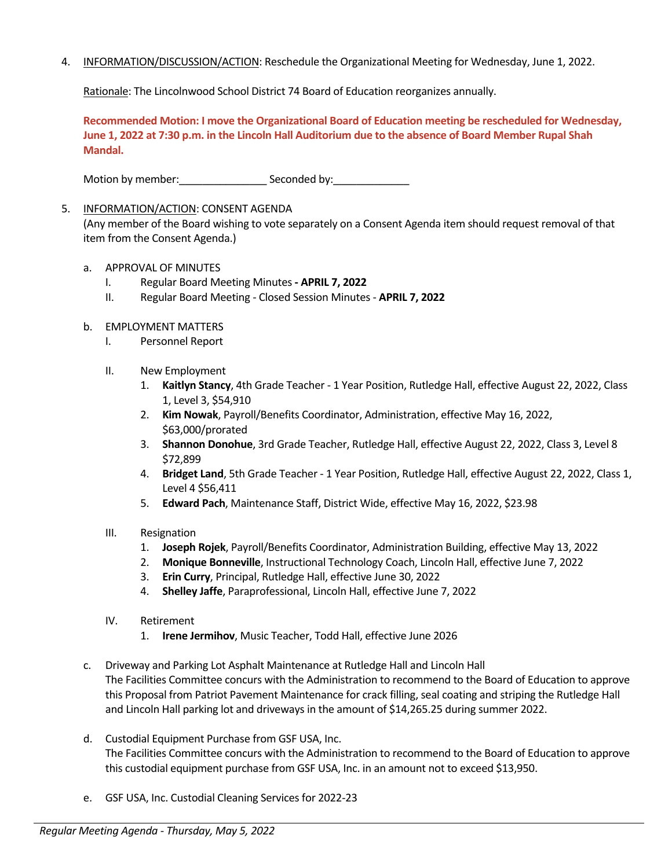4. INFORMATION/DISCUSSION/ACTION: Reschedule the Organizational Meeting for Wednesday, June 1, 2022.

Rationale: The Lincolnwood School District 74 Board of Education reorganizes annually.

**Recommended Motion: I move the Organizational Board of Education meeting be rescheduled for Wednesday, June 1, 2022 at 7:30 p.m. in the Lincoln Hall Auditorium due to the absence of Board Member Rupal Shah Mandal.** 

Motion by member: \_\_\_\_\_\_\_\_\_\_\_\_\_\_\_\_\_\_\_\_\_ Seconded by: \_\_\_\_\_\_\_\_\_\_\_\_\_\_\_

### 5. INFORMATION/ACTION: CONSENT AGENDA

(Any member of the Board wishing to vote separately on a Consent Agenda item should request removal of that item from the Consent Agenda.)

- a. APPROVAL OF MINUTES
	- I. Regular Board Meeting Minutes  **APRIL 7, 2022**
	- II. Regular Board Meeting Closed Session Minutes **APRIL 7, 2022**
- b. EMPLOYMENT MATTERS
	- I. Personnel Report
	- II. New Employment
		- 1. **Kaitlyn Stancy**, 4th Grade Teacher 1 Year Position, Rutledge Hall, effective August 22, 2022, Class 1, Level 3, \$54,910
		- 2. **Kim Nowak**, Payroll/Benefits Coordinator, Administration, effective May 16, 2022, \$63,000/prorated
		- 3. **Shannon Donohue**, 3rd Grade Teacher, Rutledge Hall, effective August 22, 2022, Class 3, Level 8 \$72,899
		- 4. **Bridget Land**, 5th Grade Teacher 1 Year Position, Rutledge Hall, effective August 22, 2022, Class 1, Level 4 \$56,411
		- 5. **Edward Pach**, Maintenance Staff, District Wide, effective May 16, 2022, \$23.98
	- III. Resignation
		- 1. **Joseph Rojek**, Payroll/Benefits Coordinator, Administration Building, effective May 13, 2022
		- 2. **Monique Bonneville**, Instructional Technology Coach, Lincoln Hall, effective June 7, 2022
		- 3. **Erin Curry**, Principal, Rutledge Hall, effective June 30, 2022
		- 4. **Shelley Jaffe**, Paraprofessional, Lincoln Hall, effective June 7, 2022
	- IV. Retirement
		- 1. **Irene Jermihov**, Music Teacher, Todd Hall, effective June 2026
- c. Driveway and Parking Lot Asphalt Maintenance at Rutledge Hall and Lincoln Hall The Facilities Committee concurs with the Administration to recommend to the Board of Education to approve this Proposal from Patriot Pavement Maintenance for crack filling, seal coating and striping the Rutledge Hall and Lincoln Hall parking lot and driveways in the amount of \$14,265.25 during summer 2022.
- d. Custodial Equipment Purchase from GSF USA, Inc. The Facilities Committee concurs with the Administration to recommend to the Board of Education to approve this custodial equipment purchase from GSF USA, Inc. in an amount not to exceed \$13,950.
- e. GSF USA, Inc. Custodial Cleaning Services for 2022-23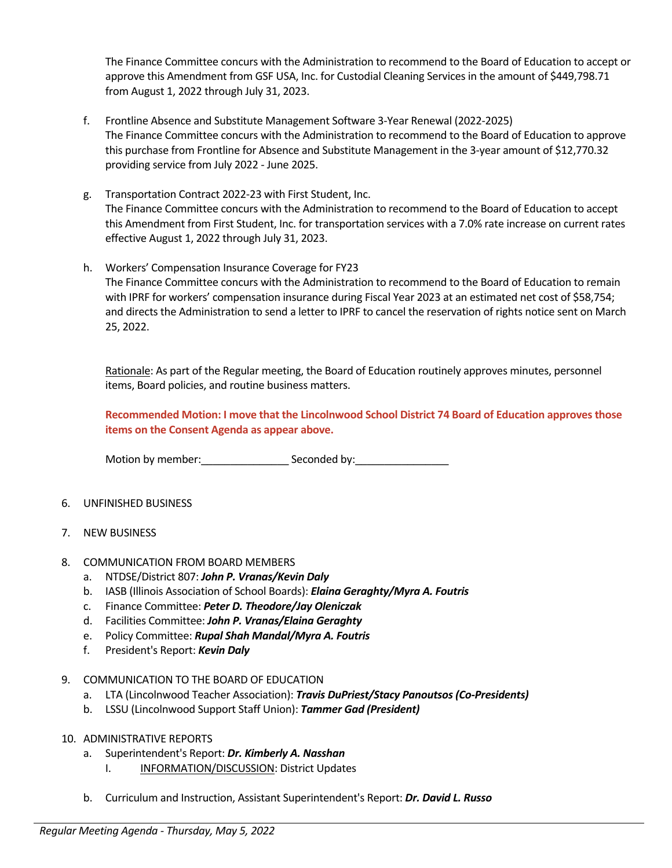The Finance Committee concurs with the Administration to recommend to the Board of Education to accept or approve this Amendment from GSF USA, Inc. for Custodial Cleaning Services in the amount of \$449,798.71 from August 1, 2022 through July 31, 2023.

- f. Frontline Absence and Substitute Management Software 3-Year Renewal (2022-2025) The Finance Committee concurs with the Administration to recommend to the Board of Education to approve this purchase from Frontline for Absence and Substitute Management in the 3-year amount of \$12,770.32 providing service from July 2022 - June 2025.
- g. Transportation Contract 2022-23 with First Student, Inc. The Finance Committee concurs with the Administration to recommend to the Board of Education to accept this Amendment from First Student, Inc. for transportation services with a 7.0% rate increase on current rates effective August 1, 2022 through July 31, 2023.
- h. Workers' Compensation Insurance Coverage for FY23 The Finance Committee concurs with the Administration to recommend to the Board of Education to remain with IPRF for workers' compensation insurance during Fiscal Year 2023 at an estimated net cost of \$58,754; and directs the Administration to send a letter to IPRF to cancel the reservation of rights notice sent on March 25, 2022.

Rationale: As part of the Regular meeting, the Board of Education routinely approves minutes, personnel items, Board policies, and routine business matters.

**Recommended Motion: I move that the Lincolnwood School District 74 Board of Education approves those items on the Consent Agenda as appear above.**

Motion by member: example Seconded by:

- 6. UNFINISHED BUSINESS
- 7. NEW BUSINESS
- 8. COMMUNICATION FROM BOARD MEMBERS
	- a. NTDSE/District 807: *John P. Vranas/Kevin Daly*
	- b. IASB (Illinois Association of School Boards): *Elaina Geraghty/Myra A. Foutris*
	- c. Finance Committee: *Peter D. Theodore/Jay Oleniczak*
	- d. Facilities Committee: *John P. Vranas/Elaina Geraghty*
	- e. Policy Committee: *Rupal Shah Mandal/Myra A. Foutris*
	- f. President's Report: *Kevin Daly*
- 9. COMMUNICATION TO THE BOARD OF EDUCATION
	- a. LTA (Lincolnwood Teacher Association): *Travis DuPriest/Stacy Panoutsos (Co-Presidents)*
	- b. LSSU (Lincolnwood Support Staff Union): *Tammer Gad (President)*
- 10. ADMINISTRATIVE REPORTS
	- a. Superintendent's Report: *Dr. Kimberly A. Nasshan*
		- I. INFORMATION/DISCUSSION: District Updates
	- b. Curriculum and Instruction, Assistant Superintendent's Report: *Dr. David L. Russo*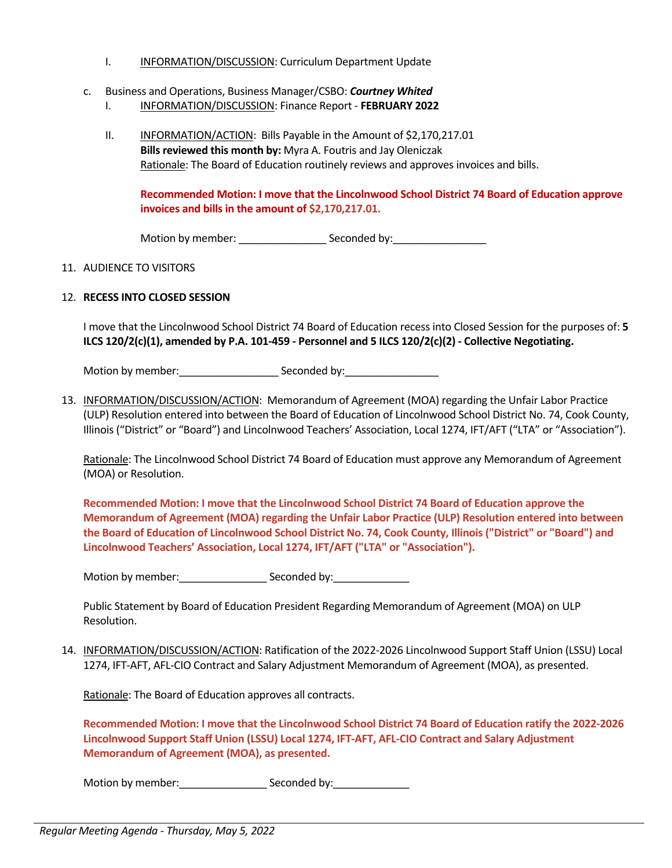- I. INFORMATION/DISCUSSION: Curriculum Department Update
- c. Business and Operations, Business Manager/CSBO: *Courtney Whited*
	- I. INFORMATION/DISCUSSION: Finance Report **FEBRUARY 2022**
	- II. INFORMATION/ACTION: Bills Payable in the Amount of \$2,170,217.01 **Bills reviewed this month by:** Myra A. Foutris and Jay Oleniczak Rationale: The Board of Education routinely reviews and approves invoices and bills.

**Recommended Motion: I move that the Lincolnwood School District 74 Board of Education approve invoices and bills in the amount of \$2,170,217.01.**

Motion by member: \_\_\_\_\_\_\_\_\_\_\_\_\_\_\_\_\_\_\_\_\_\_\_\_\_Seconded by:\_\_\_\_\_\_\_\_\_\_\_\_\_\_\_\_\_\_\_\_\_\_\_\_\_

#### 11. AUDIENCE TO VISITORS

## 12. **RECESS INTO CLOSED SESSION**

I move that the Lincolnwood School District 74 Board of Education recess into Closed Session for the purposes of: **5 ILCS 120/2(c)(1), amended by P.A. 101-459 - Personnel and 5 ILCS 120/2(c)(2) - Collective Negotiating.**

Motion by member:\_\_\_\_\_\_\_\_\_\_\_\_\_\_\_\_\_ Seconded by:\_\_\_\_\_\_\_\_\_\_\_\_\_\_\_\_

13. INFORMATION/DISCUSSION/ACTION: Memorandum of Agreement (MOA) regarding the Unfair Labor Practice (ULP) Resolution entered into between the Board of Education of Lincolnwood School District No. 74, Cook County, Illinois ("District" or "Board") and Lincolnwood Teachers' Association, Local 1274, IFT/AFT ("LTA" or "Association").

Rationale: The Lincolnwood School District 74 Board of Education must approve any Memorandum of Agreement (MOA) or Resolution.

**Recommended Motion: I move that the Lincolnwood School District 74 Board of Education approve the Memorandum of Agreement (MOA) regarding the Unfair Labor Practice (ULP) Resolution entered into between the Board of Education of Lincolnwood School District No. 74, Cook County, Illinois ("District" or "Board") and Lincolnwood Teachers' Association, Local 1274, IFT/AFT ("LTA" or "Association").**

Motion by member:\_\_\_\_\_\_\_\_\_\_\_\_\_\_\_ Seconded by:\_\_\_\_\_\_\_\_\_\_\_\_\_

Public Statement by Board of Education President Regarding Memorandum of Agreement (MOA) on ULP Resolution.

14. INFORMATION/DISCUSSION/ACTION: Ratification of the 2022-2026 Lincolnwood Support Staff Union (LSSU) Local 1274, IFT-AFT, AFL-CIO Contract and Salary Adjustment Memorandum of Agreement (MOA), as presented.

Rationale: The Board of Education approves all contracts.

**Recommended Motion: I move that the Lincolnwood School District 74 Board of Education ratify the 2022-2026 Lincolnwood Support Staff Union (LSSU) Local 1274, IFT-AFT, AFL-CIO Contract and Salary Adjustment Memorandum of Agreement (MOA), as presented.**

Motion by member: \_\_\_\_\_\_\_\_\_\_\_\_\_\_\_\_\_\_\_\_\_\_ Seconded by: